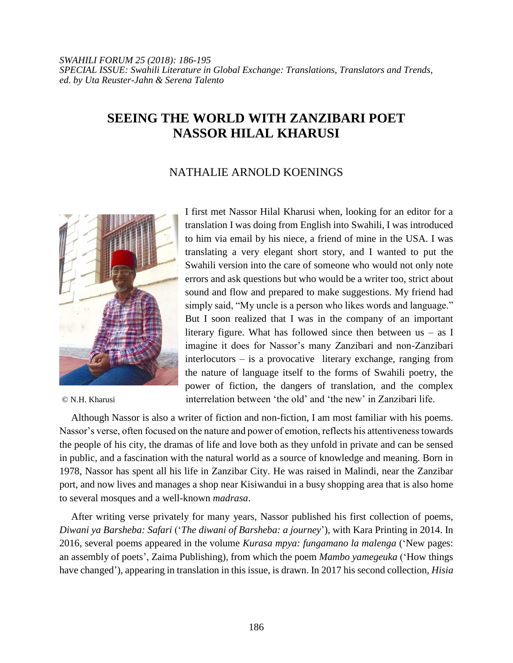## **SEEING THE WORLD WITH ZANZIBARI POET NASSOR HILAL KHARUSI**

## NATHALIE ARNOLD KOENINGS



I first met Nassor Hilal Kharusi when, looking for an editor for a translation I was doing from English into Swahili, I was introduced to him via email by his niece, a friend of mine in the USA. I was translating a very elegant short story, and I wanted to put the Swahili version into the care of someone who would not only note errors and ask questions but who would be a writer too, strict about sound and flow and prepared to make suggestions. My friend had simply said, "My uncle is a person who likes words and language." But I soon realized that I was in the company of an important literary figure. What has followed since then between  $us - as I$ imagine it does for Nassor's many Zanzibari and non-Zanzibari interlocutors – is a provocative literary exchange, ranging from the nature of language itself to the forms of Swahili poetry, the power of fiction, the dangers of translation, and the complex © N.H. Kharusi interrelation between 'the old' and 'the new' in Zanzibari life.

Although Nassor is also a writer of fiction and non-fiction, I am most familiar with his poems. Nassor's verse, often focused on the nature and power of emotion, reflects his attentiveness towards the people of his city, the dramas of life and love both as they unfold in private and can be sensed in public, and a fascination with the natural world as a source of knowledge and meaning. Born in 1978, Nassor has spent all his life in Zanzibar City. He was raised in Malindi, near the Zanzibar port, and now lives and manages a shop near Kisiwandui in a busy shopping area that is also home to several mosques and a well-known *madrasa*.

After writing verse privately for many years, Nassor published his first collection of poems, *Diwani ya Barsheba: Safari* ('*The diwani of Barsheba: a journey*')*,* with Kara Printing in 2014. In 2016, several poems appeared in the volume *Kurasa mpya: fungamano la malenga* ('New pages: an assembly of poets', Zaima Publishing)*,* from which the poem *Mambo yamegeuka* ('How things have changed'), appearing in translation in this issue, is drawn. In 2017 his second collection, *Hisia*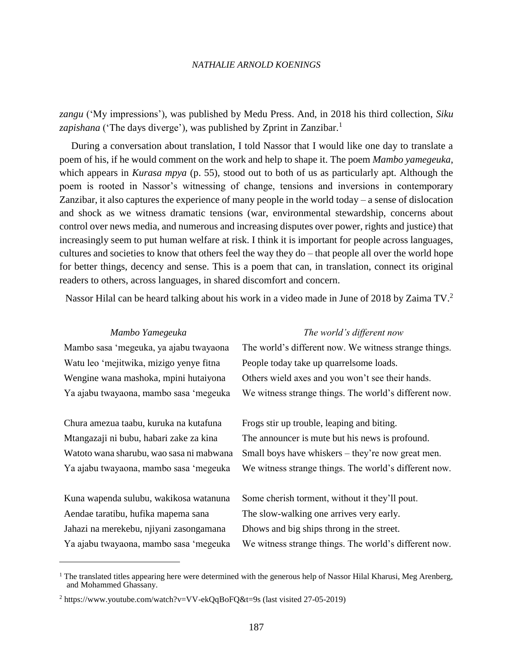## *NATHALIE ARNOLD KOENINGS*

*zangu* ('My impressions'), was published by Medu Press. And, in 2018 his third collection, *Siku*  zapishana ('The days diverge'), was published by Zprint in Zanzibar.<sup>1</sup>

During a conversation about translation, I told Nassor that I would like one day to translate a poem of his, if he would comment on the work and help to shape it. The poem *Mambo yamegeuka*, which appears in *Kurasa mpya* (p. 55)*,* stood out to both of us as particularly apt. Although the poem is rooted in Nassor's witnessing of change, tensions and inversions in contemporary Zanzibar, it also captures the experience of many people in the world today – a sense of dislocation and shock as we witness dramatic tensions (war, environmental stewardship, concerns about control over news media, and numerous and increasing disputes over power, rights and justice) that increasingly seem to put human welfare at risk. I think it is important for people across languages, cultures and societies to know that others feel the way they do – that people all over the world hope for better things, decency and sense. This is a poem that can, in translation, connect its original readers to others, across languages, in shared discomfort and concern.

Nassor Hilal can be heard talking about his work in a video made in June of 2018 by Zaima TV.<sup>2</sup>

| Mambo Yamegeuka                          | The world's different now                             |
|------------------------------------------|-------------------------------------------------------|
| Mambo sasa 'megeuka, ya ajabu twayaona   | The world's different now. We witness strange things. |
| Watu leo 'mejitwika, mizigo yenye fitna  | People today take up quarrelsome loads.               |
| Wengine wana mashoka, mpini hutaiyona    | Others wield axes and you won't see their hands.      |
| Ya ajabu twayaona, mambo sasa 'megeuka   | We witness strange things. The world's different now. |
|                                          |                                                       |
| Chura amezua taabu, kuruka na kutafuna   | Frogs stir up trouble, leaping and biting.            |
| Mtangazaji ni bubu, habari zake za kina  | The announcer is mute but his news is profound.       |
| Watoto wana sharubu, wao sasa ni mabwana | Small boys have whiskers – they're now great men.     |
| Ya ajabu twayaona, mambo sasa 'megeuka   | We witness strange things. The world's different now. |
|                                          |                                                       |
| Kuna wapenda sulubu, wakikosa watanuna   | Some cherish torment, without it they'll pout.        |
| Aendae taratibu, hufika mapema sana      | The slow-walking one arrives very early.              |
| Jahazi na merekebu, njiyani zasongamana  | Dhows and big ships throng in the street.             |
| Ya ajabu twayaona, mambo sasa 'megeuka   | We witness strange things. The world's different now. |

 $\overline{a}$ 

 $<sup>1</sup>$  The translated titles appearing here were determined with the generous help of Nassor Hilal Kharusi, Meg Arenberg,</sup> and Mohammed Ghassany.

 $2 \text{ https://www.voutube.com/watch?v=VV-ekQqBoFQ&t=9s (last visited 27-05-2019)$